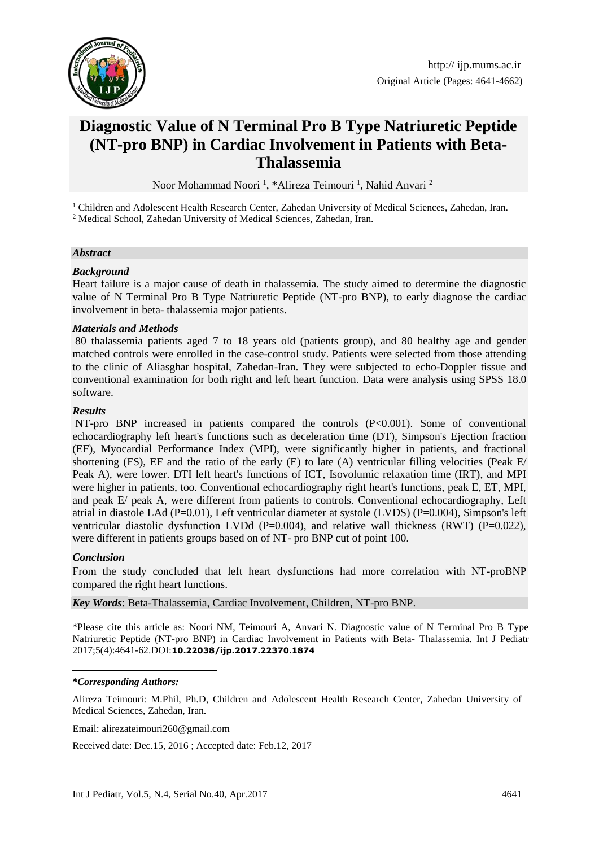

Original Article (Pages: 4641-4662)

# **Diagnostic Value of N Terminal Pro B Type Natriuretic Peptide (NT-pro BNP) in Cardiac Involvement in Patients with Beta-Thalassemia**

Noor Mohammad Noori<sup>1</sup>, \*Alireza Teimouri<sup>1</sup>, Nahid Anvari<sup>2</sup>

<sup>1</sup> Children and Adolescent Health Research Center, Zahedan University of Medical Sciences, Zahedan, Iran. <sup>2</sup> Medical School, Zahedan University of Medical Sciences, Zahedan, Iran.

#### *Abstract*

#### *Background*

Heart failure is a major cause of death in thalassemia. The study aimed to determine the diagnostic value of N Terminal Pro B Type Natriuretic Peptide (NT-pro BNP), to early diagnose the cardiac involvement in beta- thalassemia major patients.

#### *Materials and Methods*

80 thalassemia patients aged 7 to 18 years old (patients group), and 80 healthy age and gender matched controls were enrolled in the case-control study. Patients were selected from those attending to the clinic of Aliasghar hospital, Zahedan-Iran. They were subjected to echo-Doppler tissue and conventional examination for both right and left heart function. Data were analysis using SPSS 18.0 software.

#### *Results*

NT-pro BNP increased in patients compared the controls (P<0.001). Some of conventional echocardiography left heart's functions such as deceleration time (DT), Simpson's Ejection fraction (EF), Myocardial Performance Index (MPI), were significantly higher in patients, and fractional shortening (FS), EF and the ratio of the early  $(E)$  to late  $(A)$  ventricular filling velocities (Peak E/ Peak A), were lower. DTI left heart's functions of ICT, Isovolumic relaxation time (IRT), and MPI were higher in patients, too. Conventional echocardiography right heart's functions, peak E, ET, MPI, and peak E/ peak A, were different from patients to controls. Conventional echocardiography, Left atrial in diastole LAd (P=0.01), Left ventricular diameter at systole (LVDS) (P=0.004), Simpson's left ventricular diastolic dysfunction LVDd (P=0.004), and relative wall thickness (RWT) (P=0.022), were different in patients groups based on of NT- pro BNP cut of point 100.

### *Conclusion*

From the study concluded that left heart dysfunctions had more correlation with NT-proBNP compared the right heart functions.

*Key Words*: Beta-Thalassemia, Cardiac Involvement, Children, NT-pro BNP.

\*Please cite this article as: Noori NM, Teimouri A, Anvari N. Diagnostic value of N Terminal Pro B Type Natriuretic Peptide (NT-pro BNP) in Cardiac Involvement in Patients with Beta- Thalassemia. Int J Pediatr 2017;5(4):4641-62.DOI:**10.22038/ijp.2017.22370.1874**

#### 1 *\*Corresponding Authors:*

Alireza Teimouri: M.Phil, Ph.D, Children and Adolescent Health Research Center, Zahedan University of Medical Sciences, Zahedan, Iran.

Email: [alirezateimouri260@gmail.com](mailto:alirezateimouri260@gmail.com)

Received date: Dec.15, 2016 ; Accepted date: Feb.12, 2017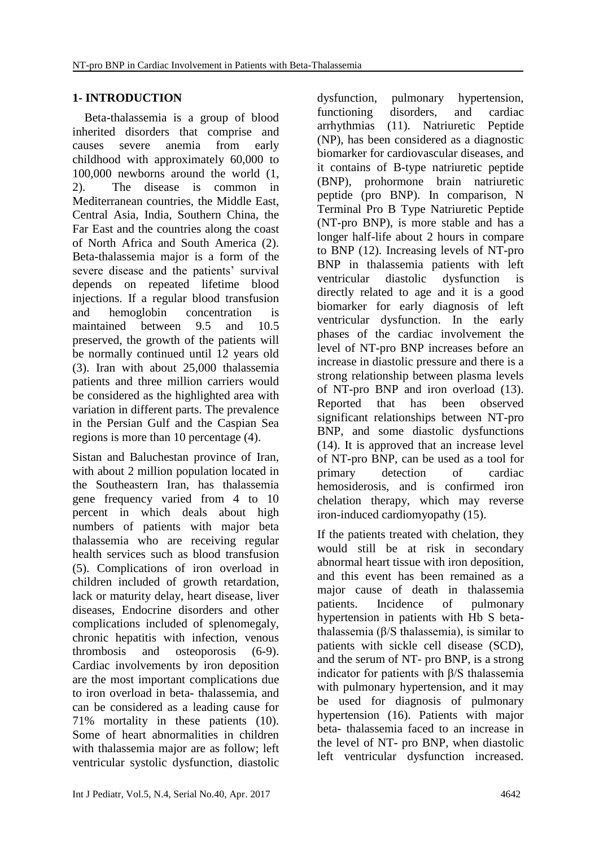## **1- INTRODUCTION**

 Beta-thalassemia is a group of blood inherited disorders that comprise and causes severe anemia from early childhood with approximately 60,000 to 100,000 newborns around the world (1, 2). The disease is common in Mediterranean countries, the Middle East, Central Asia, India, Southern China, the Far East and the countries along the coast of North Africa and South America (2). Beta-thalassemia major is a form of the severe disease and the patients' survival depends on repeated lifetime blood injections. If a regular blood transfusion and hemoglobin concentration is maintained between 9.5 and 10.5 preserved, the growth of the patients will be normally continued until 12 years old (3). Iran with about 25,000 thalassemia patients and three million carriers would be considered as the highlighted area with variation in different parts. The prevalence in the Persian Gulf and the Caspian Sea regions is more than 10 percentage (4).

Sistan and Baluchestan province of Iran, with about 2 million population located in the Southeastern Iran, has thalassemia gene frequency varied from 4 to 10 percent in which deals about high numbers of patients with major beta thalassemia who are receiving regular health services such as blood transfusion (5). Complications of iron overload in children included of growth retardation, lack or maturity delay, heart disease, liver diseases, Endocrine disorders and other complications included of splenomegaly, chronic hepatitis with infection, venous thrombosis and osteoporosis (6-9). Cardiac involvements by iron deposition are the most important complications due to iron overload in beta- thalassemia, and can be considered as a leading cause for 71% mortality in these patients (10). Some of heart abnormalities in children with thalassemia major are as follow; left ventricular systolic dysfunction, diastolic

dysfunction, pulmonary hypertension, functioning disorders, and cardiac arrhythmias (11). Natriuretic Peptide (NP), has been considered as a diagnostic biomarker for cardiovascular diseases, and it contains of B-type natriuretic peptide (BNP), prohormone brain natriuretic peptide (pro BNP). In comparison, N Terminal Pro B Type Natriuretic Peptide (NT-pro BNP), is more stable and has a longer half-life about 2 hours in compare to BNP (12). Increasing levels of NT-pro BNP in thalassemia patients with left ventricular diastolic dysfunction is directly related to age and it is a good biomarker for early diagnosis of left ventricular dysfunction. In the early phases of the cardiac involvement the level of NT-pro BNP increases before an increase in diastolic pressure and there is a strong relationship between plasma levels of NT-pro BNP and iron overload (13). Reported that has been observed significant relationships between NT-pro BNP, and some diastolic dysfunctions (14). It is approved that an increase level of NT-pro BNP, can be used as a tool for primary detection of cardiac hemosiderosis, and is confirmed iron chelation therapy, which may reverse iron-induced cardiomyopathy (15).

If the patients treated with chelation, they would still be at risk in secondary abnormal heart tissue with iron deposition, and this event has been remained as a major cause of death in thalassemia patients. Incidence of pulmonary hypertension in patients with Hb S betathalassemia (β/S thalassemia), is similar to patients with sickle cell disease (SCD), and the serum of NT- pro BNP, is a strong indicator for patients with β/S thalassemia with pulmonary hypertension, and it may be used for diagnosis of pulmonary hypertension (16). Patients with major beta- thalassemia faced to an increase in the level of NT- pro BNP, when diastolic left ventricular dysfunction increased.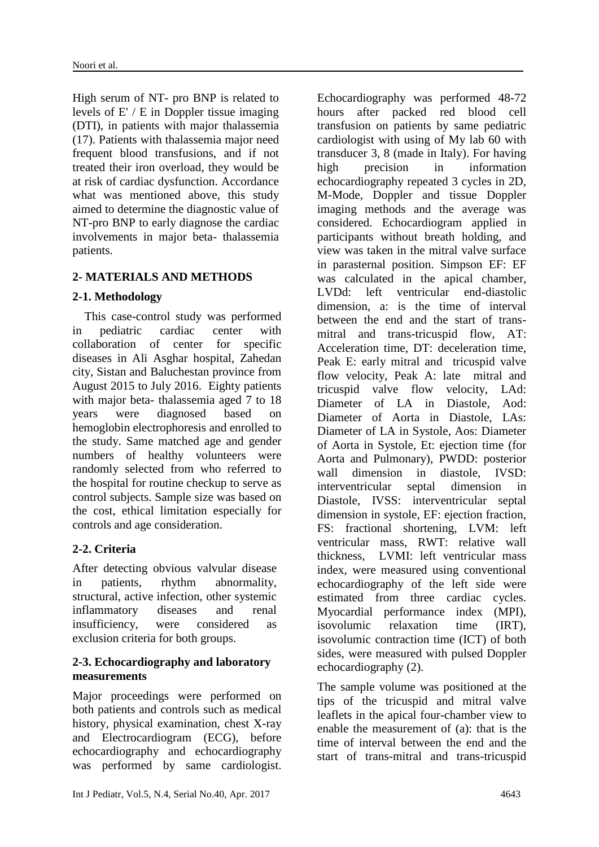High serum of NT- pro BNP is related to levels of E' / E in Doppler tissue imaging (DTI), in patients with major thalassemia (17). Patients with thalassemia major need frequent blood transfusions, and if not treated their iron overload, they would be at risk of cardiac dysfunction. Accordance what was mentioned above, this study aimed to determine the diagnostic value of NT-pro BNP to early diagnose the cardiac involvements in major beta- thalassemia patients.

### **2- MATERIALS AND METHODS**

### **2-1. Methodology**

 This case-control study was performed in pediatric cardiac center with collaboration of center for specific diseases in Ali Asghar hospital, Zahedan city, Sistan and Baluchestan province from August 2015 to July 2016. Eighty patients with major beta- thalassemia aged 7 to 18 years were diagnosed based on hemoglobin electrophoresis and enrolled to the study. Same matched age and gender numbers of healthy volunteers were randomly selected from who referred to the hospital for routine checkup to serve as control subjects. Sample size was based on the cost, ethical limitation especially for controls and age consideration.

# **2-2. Criteria**

After detecting obvious valvular disease in patients, rhythm abnormality, structural, active infection, other systemic inflammatory diseases and renal insufficiency, were considered as exclusion criteria for both groups.

### **2-3. Echocardiography and laboratory measurements**

Major proceedings were performed on both patients and controls such as medical history, physical examination, chest X-ray and Electrocardiogram (ECG), before echocardiography and echocardiography was performed by same cardiologist.

Echocardiography was performed 48-72 hours after packed red blood cell transfusion on patients by same pediatric cardiologist with using of My lab 60 with transducer 3, 8 (made in Italy). For having high precision in information echocardiography repeated 3 cycles in 2D, M-Mode, Doppler and tissue Doppler imaging methods and the average was considered. Echocardiogram applied in participants without breath holding, and view was taken in the mitral valve surface in parasternal position. Simpson EF: EF was calculated in the apical chamber, LVDd: left ventricular end-diastolic dimension, a: is the time of interval between the end and the start of transmitral and trans-tricuspid flow, AT: Acceleration time, DT: deceleration time, Peak E: early mitral and tricuspid valve flow velocity, Peak A: late mitral and tricuspid valve flow velocity, LAd: Diameter of LA in Diastole, Aod: Diameter of Aorta in Diastole, LAs: Diameter of LA in Systole, Aos: Diameter of Aorta in Systole, Et: ejection time (for Aorta and Pulmonary), PWDD: posterior wall dimension in diastole. **IVSD**: interventricular septal dimension in Diastole, IVSS: interventricular septal dimension in systole, EF: ejection fraction, FS: fractional shortening, LVM: left ventricular mass, RWT: relative wall thickness, LVMI: left ventricular mass index, were measured using conventional echocardiography of the left side were estimated from three cardiac cycles. Myocardial performance index (MPI), isovolumic relaxation time (IRT), isovolumic contraction time (ICT) of both sides, were measured with pulsed Doppler echocardiography (2).

The sample volume was positioned at the tips of the tricuspid and mitral valve leaflets in the apical four-chamber view to enable the measurement of (a): that is the time of interval between the end and the start of trans-mitral and trans-tricuspid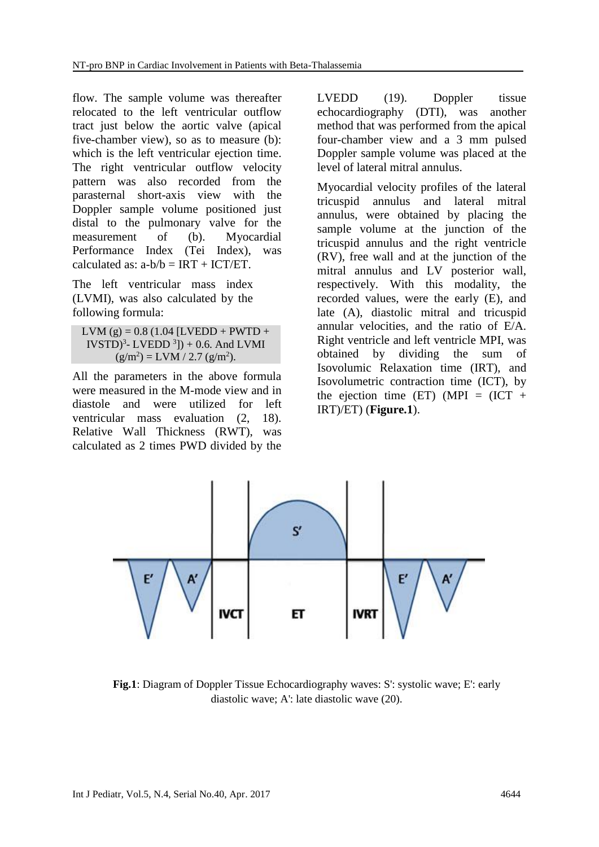flow. The sample volume was thereafter relocated to the left ventricular outflow tract just below the aortic valve (apical five-chamber view), so as to measure (b): which is the left ventricular ejection time. The right ventricular outflow velocity pattern was also recorded from the parasternal short-axis view with the Doppler sample volume positioned just distal to the pulmonary valve for the measurement of (b). Myocardial Performance Index (Tei Index), was calculated as:  $a-b/b = IRT + ICT/ET$ .

The left ventricular mass index (LVMI), was also calculated by the following formula:

LVM (g) =  $0.8$  (1.04 [LVEDD + PWTD +  $[VSTD]$ <sup>3</sup>- LVEDD<sup>3</sup>]) + 0.6. And LVMI  $(g/m^2) = LVM / 2.7 (g/m^2).$ 

All the parameters in the above formula were measured in the M-mode view and in diastole and were utilized for left ventricular mass evaluation (2, 18). Relative Wall Thickness (RWT), was calculated as 2 times PWD divided by the

LVEDD (19). Doppler tissue echocardiography (DTI), was another method that was performed from the apical four-chamber view and a 3 mm pulsed Doppler sample volume was placed at the level of lateral mitral annulus.

Myocardial velocity profiles of the lateral tricuspid annulus and lateral mitral annulus, were obtained by placing the sample volume at the junction of the tricuspid annulus and the right ventricle (RV), free wall and at the junction of the mitral annulus and LV posterior wall, respectively. With this modality, the recorded values, were the early (E), and late (A), diastolic mitral and tricuspid annular velocities, and the ratio of E/A. Right ventricle and left ventricle MPI, was obtained by dividing the sum of Isovolumic Relaxation time (IRT), and Isovolumetric contraction time (ICT), by the ejection time (ET) (MPI =  $(ICT +$ IRT)/ET) (**Figure.1**).



**Fig.1**: Diagram of Doppler Tissue Echocardiography waves: S': systolic wave; E': early diastolic wave; A': late diastolic wave (20).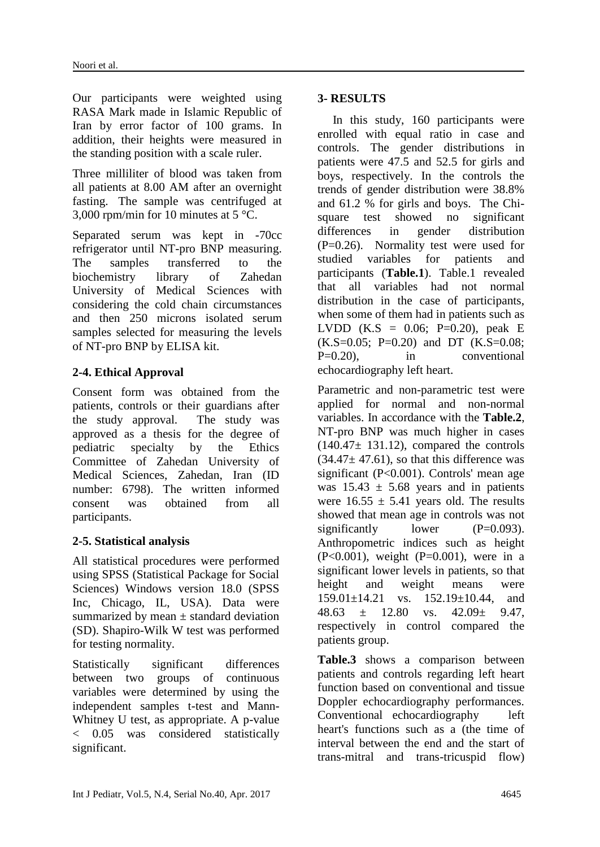Our participants were weighted using RASA Mark made in Islamic Republic of Iran by error factor of 100 grams. In addition, their heights were measured in the standing position with a scale ruler.

Three milliliter of blood was taken from all patients at 8.00 AM after an overnight fasting. The sample was centrifuged at 3,000 rpm/min for 10 minutes at 5 °C.

Separated serum was kept in -70cc refrigerator until NT-pro BNP measuring. The samples transferred to the biochemistry library of Zahedan University of Medical Sciences with considering the cold chain circumstances and then 250 microns isolated serum samples selected for measuring the levels of NT-pro BNP by ELISA kit.

# **2-4. Ethical Approval**

Consent form was obtained from the patients, controls or their guardians after the study approval. The study was approved as a thesis for the degree of pediatric specialty by the Ethics Committee of Zahedan University of Medical Sciences, Zahedan, Iran (ID number: 6798). The written informed consent was obtained from all participants.

### **2-5. Statistical analysis**

All statistical procedures were performed using SPSS (Statistical Package for Social Sciences) Windows version 18.0 (SPSS Inc, Chicago, IL, USA). Data were summarized by mean  $\pm$  standard deviation (SD). Shapiro-Wilk W test was performed for testing normality.

Statistically significant differences between two groups of continuous variables were determined by using the independent samples t-test and Mann-Whitney U test, as appropriate. A p-value < 0.05 was considered statistically significant.

### **3- RESULTS**

 In this study, 160 participants were enrolled with equal ratio in case and controls. The gender distributions in patients were 47.5 and 52.5 for girls and boys, respectively. In the controls the trends of gender distribution were 38.8% and 61.2 % for girls and boys. The Chisquare test showed no significant differences in gender distribution (P=0.26). Normality test were used for studied variables for patients and participants (**Table.1**). Table.1 revealed that all variables had not normal distribution in the case of participants, when some of them had in patients such as LVDD (K.S =  $0.06$ ; P=0.20), peak E  $(K.S=0.05; P=0.20)$  and DT  $(K.S=0.08;$ P=0.20), in conventional echocardiography left heart.

Parametric and non-parametric test were applied for normal and non-normal variables. In accordance with the **Table.2**, NT-pro BNP was much higher in cases  $(140.47 \pm 131.12)$ , compared the controls  $(34.47 \pm 47.61)$ , so that this difference was significant (P<0.001). Controls' mean age was  $15.43 \pm 5.68$  years and in patients were  $16.55 \pm 5.41$  years old. The results showed that mean age in controls was not significantly lower  $(P=0.093)$ . Anthropometric indices such as height (P<0.001), weight (P=0.001), were in a significant lower levels in patients, so that height and weight means were 159.01±14.21 vs. 152.19±10.44, and  $48.63 + 12.80$  vs.  $42.09 + 9.47$ respectively in control compared the patients group.

**Table.3** shows a comparison between patients and controls regarding left heart function based on conventional and tissue Doppler echocardiography performances. Conventional echocardiography left heart's functions such as a (the time of interval between the end and the start of trans-mitral and trans-tricuspid flow)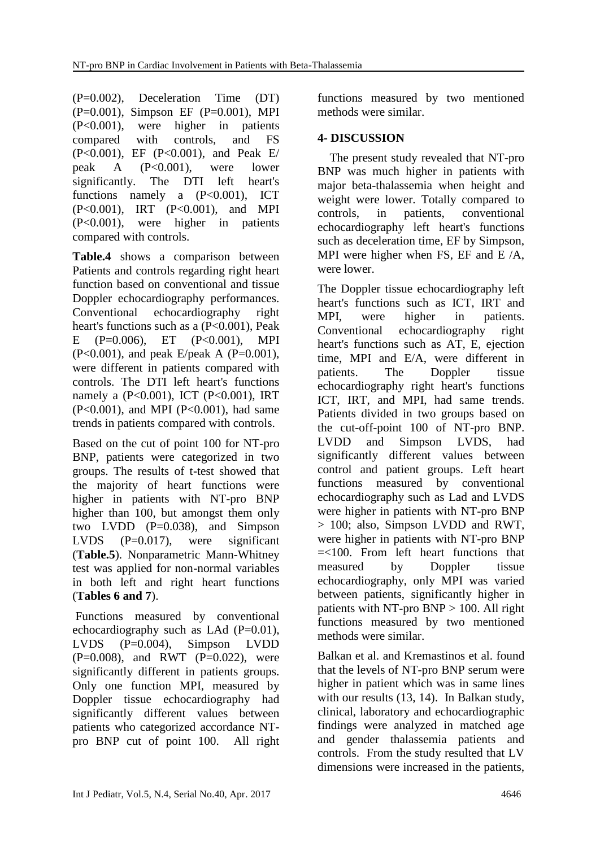(P=0.002), Deceleration Time (DT) (P=0.001), Simpson EF (P=0.001), MPI (P<0.001), were higher in patients compared with controls, and FS (P<0.001), EF (P<0.001), and Peak E/ peak A (P<0.001), were lower significantly. The DTI left heart's functions namely a (P<0.001), ICT (P<0.001), IRT (P<0.001), and MPI (P<0.001), were higher in patients compared with controls.

**Table.4** shows a comparison between Patients and controls regarding right heart function based on conventional and tissue Doppler echocardiography performances. Conventional echocardiography right heart's functions such as a (P<0.001), Peak E (P=0.006), ET (P<0.001), MPI  $(P<0.001)$ , and peak E/peak A  $(P=0.001)$ , were different in patients compared with controls. The DTI left heart's functions namely a (P<0.001), ICT (P<0.001), IRT (P<0.001), and MPI (P<0.001), had same trends in patients compared with controls.

Based on the cut of point 100 for NT-pro BNP, patients were categorized in two groups. The results of t-test showed that the majority of heart functions were higher in patients with NT-pro BNP higher than 100, but amongst them only two LVDD  $(P=0.038)$ , and Simpson LVDS (P=0.017), were significant (**Table.5**). Nonparametric Mann-Whitney test was applied for non-normal variables in both left and right heart functions (**Tables 6 and 7**).

Functions measured by conventional echocardiography such as LAd  $(P=0.01)$ , LVDS (P=0.004), Simpson LVDD  $(P=0.008)$ , and RWT  $(P=0.022)$ , were significantly different in patients groups. Only one function MPI, measured by Doppler tissue echocardiography had significantly different values between patients who categorized accordance NTpro BNP cut of point 100. All right

functions measured by two mentioned methods were similar.

## **4- DISCUSSION**

 The present study revealed that NT-pro BNP was much higher in patients with major beta-thalassemia when height and weight were lower. Totally compared to controls, in patients, conventional echocardiography left heart's functions such as deceleration time, EF by Simpson, MPI were higher when FS, EF and E /A, were lower.

The Doppler tissue echocardiography left heart's functions such as ICT, IRT and MPI, were higher in patients. Conventional echocardiography right heart's functions such as AT, E, ejection time, MPI and E/A, were different in patients. The Doppler tissue echocardiography right heart's functions ICT, IRT, and MPI, had same trends. Patients divided in two groups based on the cut-off-point 100 of NT-pro BNP. LVDD and Simpson LVDS, had significantly different values between control and patient groups. Left heart functions measured by conventional echocardiography such as Lad and LVDS were higher in patients with NT-pro BNP > 100; also, Simpson LVDD and RWT, were higher in patients with NT-pro BNP =<100. From left heart functions that measured by Doppler tissue echocardiography, only MPI was varied between patients, significantly higher in patients with NT-pro BNP > 100. All right functions measured by two mentioned methods were similar.

Balkan et al. and Kremastinos et al. found that the levels of NT-pro BNP serum were higher in patient which was in same lines with our results (13, 14). In Balkan study, clinical, laboratory and echocardiographic findings were analyzed in matched age and gender thalassemia patients and controls. From the study resulted that LV dimensions were increased in the patients,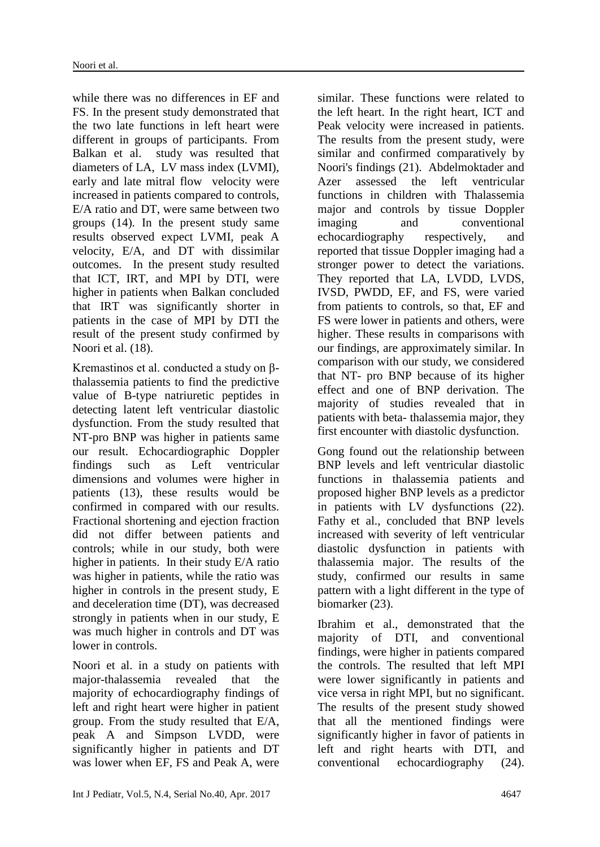while there was no differences in EF and FS. In the present study demonstrated that the two late functions in left heart were different in groups of participants. From Balkan et al. study was resulted that diameters of LA, LV mass index (LVMI), early and late mitral flow velocity were increased in patients compared to controls, E/A ratio and DT, were same between two groups (14). In the present study same results observed expect LVMI, peak A velocity, E/A, and DT with dissimilar outcomes. In the present study resulted that ICT, IRT, and MPI by DTI, were higher in patients when Balkan concluded that IRT was significantly shorter in patients in the case of MPI by DTI the result of the present study confirmed by Noori et al. (18).

Kremastinos et al. conducted a study on βthalassemia patients to find the predictive value of B-type natriuretic peptides in detecting latent left ventricular diastolic dysfunction. From the study resulted that NT-pro BNP was higher in patients same our result. Echocardiographic Doppler findings such as Left ventricular dimensions and volumes were higher in patients (13), these results would be confirmed in compared with our results. Fractional shortening and ejection fraction did not differ between patients and controls; while in our study, both were higher in patients. In their study E/A ratio was higher in patients, while the ratio was higher in controls in the present study, E and deceleration time (DT), was decreased strongly in patients when in our study, E was much higher in controls and DT was lower in controls.

Noori et al. in a study on patients with major-thalassemia revealed that the majority of echocardiography findings of left and right heart were higher in patient group. From the study resulted that E/A, peak A and Simpson LVDD, were significantly higher in patients and DT was lower when EF, FS and Peak A, were

similar. These functions were related to the left heart. In the right heart, ICT and Peak velocity were increased in patients. The results from the present study, were similar and confirmed comparatively by Noori's findings (21). Abdelmoktader and Azer assessed the left ventricular functions in children with Thalassemia major and controls by tissue Doppler imaging and conventional echocardiography respectively, and reported that tissue Doppler imaging had a stronger power to detect the variations. They reported that LA, LVDD, LVDS, IVSD, PWDD, EF, and FS, were varied from patients to controls, so that, EF and FS were lower in patients and others, were higher. These results in comparisons with our findings, are approximately similar. In comparison with our study, we considered that NT- pro BNP because of its higher effect and one of BNP derivation. The majority of studies revealed that in patients with beta- thalassemia major, they first encounter with diastolic dysfunction.

Gong found out the relationship between BNP levels and left ventricular diastolic functions in thalassemia patients and proposed higher BNP levels as a predictor in patients with LV dysfunctions (22). Fathy et al., concluded that BNP levels increased with severity of left ventricular diastolic dysfunction in patients with thalassemia major. The results of the study, confirmed our results in same pattern with a light different in the type of biomarker (23).

Ibrahim et al., demonstrated that the majority of DTI, and conventional findings, were higher in patients compared the controls. The resulted that left MPI were lower significantly in patients and vice versa in right MPI, but no significant. The results of the present study showed that all the mentioned findings were significantly higher in favor of patients in left and right hearts with DTI, and conventional echocardiography (24).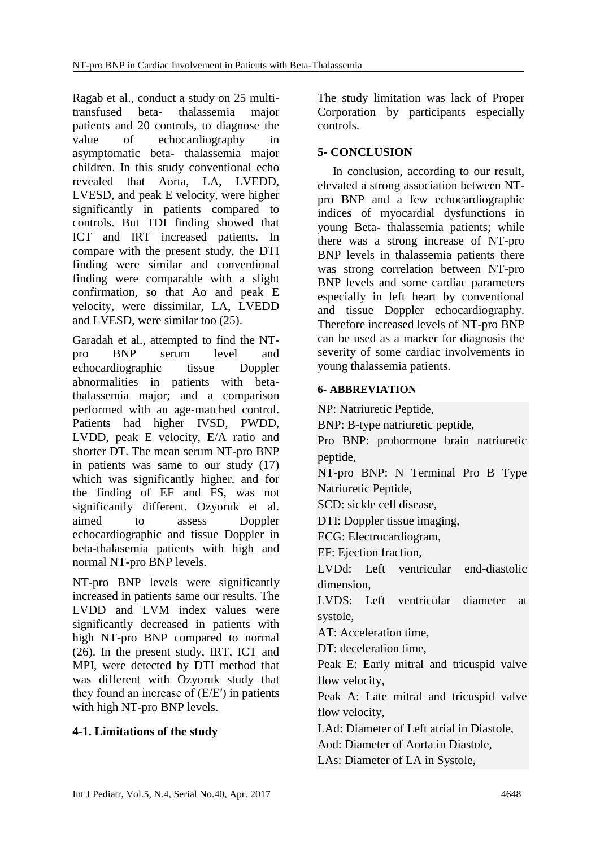Ragab et al., conduct a study on 25 multitransfused beta- thalassemia major patients and 20 controls, to diagnose the value of echocardiography in asymptomatic beta- thalassemia major children. In this study conventional echo revealed that Aorta, LA, LVEDD, LVESD, and peak E velocity, were higher significantly in patients compared to controls. But TDI finding showed that ICT and IRT increased patients. In compare with the present study, the DTI finding were similar and conventional finding were comparable with a slight confirmation, so that Ao and peak E velocity, were dissimilar, LA, LVEDD and LVESD, were similar too (25).

Garadah et al., attempted to find the NTpro BNP serum level and echocardiographic tissue Doppler abnormalities in patients with betathalassemia major; and a comparison performed with an age-matched control. Patients had higher IVSD, PWDD, LVDD, peak E velocity, E/A ratio and shorter DT. The mean serum NT-pro BNP in patients was same to our study (17) which was significantly higher, and for the finding of EF and FS, was not significantly different. Ozyoruk et al. aimed to assess Doppler echocardiographic and tissue Doppler in beta-thalasemia patients with high and normal NT-pro BNP levels.

NT-pro BNP levels were significantly increased in patients same our results. The LVDD and LVM index values were significantly decreased in patients with high NT-pro BNP compared to normal (26). In the present study, IRT, ICT and MPI, were detected by DTI method that was different with Ozyoruk study that they found an increase of (E/E′) in patients with high NT-pro BNP levels.

### **4-1. Limitations of the study**

The study limitation was lack of Proper Corporation by participants especially controls.

## **5- CONCLUSION**

 In conclusion, according to our result, elevated a strong association between NTpro BNP and a few echocardiographic indices of myocardial dysfunctions in young Beta- thalassemia patients; while there was a strong increase of NT-pro BNP levels in thalassemia patients there was strong correlation between NT-pro BNP levels and some cardiac parameters especially in left heart by conventional and tissue Doppler echocardiography. Therefore increased levels of NT-pro BNP can be used as a marker for diagnosis the severity of some cardiac involvements in young thalassemia patients.

### **6- ABBREVIATION**

NP: Natriuretic Peptide,

BNP: B-type natriuretic peptide,

Pro BNP: prohormone brain natriuretic peptide,

NT-pro BNP: N Terminal Pro B Type Natriuretic Peptide,

SCD: sickle cell disease,

DTI: Doppler tissue imaging,

ECG: Electrocardiogram,

EF: Ejection fraction,

LVDd: Left ventricular end-diastolic dimension,

LVDS: Left ventricular diameter at systole,

AT: Acceleration time,

DT: deceleration time,

Peak E: Early mitral and tricuspid valve flow velocity,

Peak A: Late mitral and tricuspid valve flow velocity,

LAd: Diameter of Left atrial in Diastole,

Aod: Diameter of Aorta in Diastole,

LAs: Diameter of LA in Systole,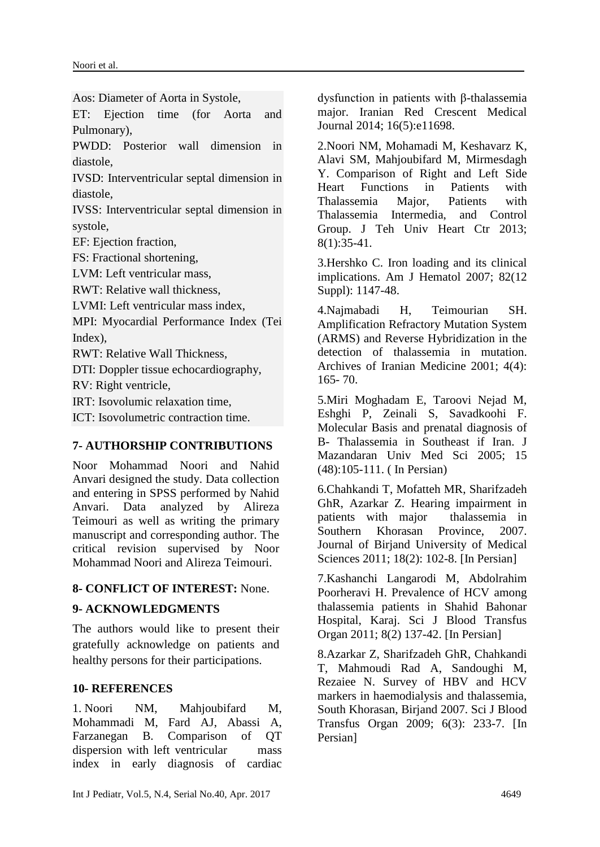Aos: Diameter of Aorta in Systole,

ET: Ejection time (for Aorta and Pulmonary),

PWDD: Posterior wall dimension in diastole,

IVSD: Interventricular septal dimension in diastole,

IVSS: Interventricular septal dimension in systole,

EF: Ejection fraction,

FS: Fractional shortening,

LVM: Left ventricular mass,

RWT: Relative wall thickness,

LVMI: Left ventricular mass index,

MPI: Myocardial Performance Index (Tei Index),

RWT: Relative Wall Thickness,

DTI: Doppler tissue echocardiography,

RV: Right ventricle,

IRT: Isovolumic relaxation time,

ICT: Isovolumetric contraction time.

### **7- AUTHORSHIP CONTRIBUTIONS**

Noor Mohammad Noori and Nahid Anvari designed the study. Data collection and entering in SPSS performed by Nahid Anvari. Data analyzed by Alireza Teimouri as well as writing the primary manuscript and corresponding author. The critical revision supervised by Noor Mohammad Noori and Alireza Teimouri.

### **8- CONFLICT OF INTEREST:** None.

### **9- ACKNOWLEDGMENTS**

The authors would like to present their gratefully acknowledge on patients and healthy persons for their participations.

### **10- REFERENCES**

1. Noori NM, Mahjoubifard M, Mohammadi M, Fard AJ, Abassi A, Farzanegan B. Comparison of QT dispersion with left ventricular mass index in early diagnosis of cardiac

dysfunction in patients with β-thalassemia major. Iranian Red Crescent Medical Journal 2014; 16(5):e11698.

2.Noori NM, Mohamadi M, Keshavarz K, Alavi SM, Mahjoubifard M, Mirmesdagh Y. Comparison of Right and Left Side Heart Functions in Patients with Thalassemia Major, Patients with Thalassemia Intermedia, and Control Group. J Teh Univ Heart Ctr 2013; 8(1):35-41.

3.Hershko C. Iron loading and its clinical implications. Am J Hematol 2007; 82(12 Suppl): 1147-48.

4.Najmabadi H, Teimourian SH. Amplification Refractory Mutation System (ARMS) and Reverse Hybridization in the detection of thalassemia in mutation. Archives of Iranian Medicine 2001; 4(4): 165- 70.

5.Miri Moghadam E, Taroovi Nejad M, Eshghi P, Zeinali S, Savadkoohi F. Molecular Basis and prenatal diagnosis of B- Thalassemia in Southeast if Iran. J Mazandaran Univ Med Sci 2005; 15 (48):105-111. ( In Persian)

6.Chahkandi T, Mofatteh MR, Sharifzadeh GhR, Azarkar Z. Hearing impairment in patients with major thalassemia in Southern Khorasan Province, 2007. Journal of Birjand University of Medical Sciences 2011; 18(2): 102-8. [In Persian]

7.Kashanchi Langarodi M, Abdolrahim Poorheravi H. Prevalence of HCV among thalassemia patients in Shahid Bahonar Hospital, Karaj. Sci J Blood Transfus Organ 2011; 8(2) 137-42. [In Persian]

8.Azarkar Z, Sharifzadeh GhR, Chahkandi T, Mahmoudi Rad A, Sandoughi M, Rezaiee N. Survey of HBV and HCV markers in haemodialysis and thalassemia, South Khorasan, Birjand 2007. Sci J Blood Transfus Organ 2009; 6(3): 233-7. [In Persian]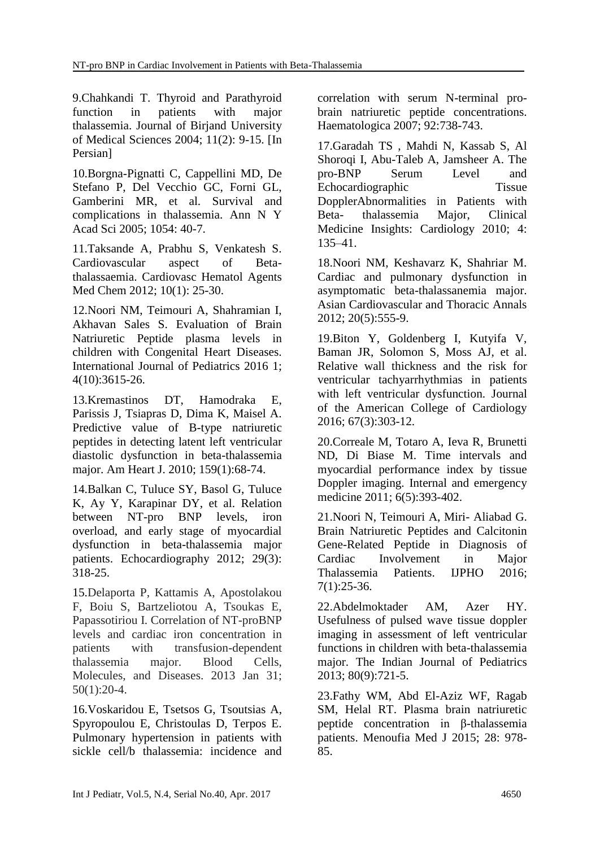9.Chahkandi T. Thyroid and Parathyroid function in patients with major thalassemia. Journal of Birjand University of Medical Sciences 2004; 11(2): 9-15. [In Persian]

10.Borgna-Pignatti C, Cappellini MD, De Stefano P, Del Vecchio GC, Forni GL, Gamberini MR, et al. Survival and complications in thalassemia. Ann N Y Acad Sci 2005; 1054: 40-7.

11.Taksande A, Prabhu S, Venkatesh S. Cardiovascular aspect of Betathalassaemia. Cardiovasc Hematol Agents Med Chem 2012; 10(1): 25-30.

12.Noori NM, Teimouri A, Shahramian I, Akhavan Sales S. Evaluation of Brain Natriuretic Peptide plasma levels in children with Congenital Heart Diseases. International Journal of Pediatrics 2016 1; 4(10):3615-26.

13.Kremastinos DT, Hamodraka E, Parissis J, Tsiapras D, Dima K, Maisel A. Predictive value of B-type natriuretic peptides in detecting latent left ventricular diastolic dysfunction in beta-thalassemia major. Am Heart J. 2010; 159(1):68-74.

14.Balkan C, Tuluce SY, Basol G, Tuluce K, Ay Y, Karapinar DY, et al. Relation between NT-pro BNP levels, iron overload, and early stage of myocardial dysfunction in beta-thalassemia major patients. Echocardiography 2012; 29(3): 318-25.

15.Delaporta P, Kattamis A, Apostolakou F, Boiu S, Bartzeliotou A, Tsoukas E, Papassotiriou I. Correlation of NT-proBNP levels and cardiac iron concentration in patients with transfusion-dependent thalassemia major. Blood Cells, Molecules, and Diseases. 2013 Jan 31; 50(1):20-4.

16.Voskaridou E, Tsetsos G, Tsoutsias A, Spyropoulou E, Christoulas D, Terpos E. Pulmonary hypertension in patients with sickle cell/b thalassemia: incidence and correlation with serum N-terminal probrain natriuretic peptide concentrations. Haematologica 2007; 92:738-743.

17.Garadah TS , Mahdi N, Kassab S, Al Shoroqi I, Abu-Taleb A, Jamsheer A. The pro-BNP Serum Level and Echocardiographic Tissue DopplerAbnormalities in Patients with Beta- thalassemia Major, Clinical Medicine Insights: Cardiology 2010; 4: 135–41.

18.Noori NM, Keshavarz K, Shahriar M. Cardiac and pulmonary dysfunction in asymptomatic beta-thalassanemia major. Asian Cardiovascular and Thoracic Annals 2012; 20(5):555-9.

19.Biton Y, Goldenberg I, Kutyifa V, Baman JR, Solomon S, Moss AJ, et al. Relative wall thickness and the risk for ventricular tachyarrhythmias in patients with left ventricular dysfunction. Journal of the American College of Cardiology 2016; 67(3):303-12.

20.Correale M, Totaro A, Ieva R, Brunetti ND, Di Biase M. Time intervals and myocardial performance index by tissue Doppler imaging. Internal and emergency medicine 2011; 6(5):393-402.

21.Noori N, Teimouri A, Miri- Aliabad G. Brain Natriuretic Peptides and Calcitonin Gene-Related Peptide in Diagnosis of Cardiac Involvement in Major Thalassemia Patients. IJPHO 2016; 7(1):25-36.

22.Abdelmoktader AM, Azer HY. Usefulness of pulsed wave tissue doppler imaging in assessment of left ventricular functions in children with beta-thalassemia major. The Indian Journal of Pediatrics 2013; 80(9):721-5.

23.Fathy WM, Abd El-Aziz WF, Ragab SM, Helal RT. Plasma brain natriuretic peptide concentration in β-thalassemia patients. Menoufia Med J 2015; 28: 978- 85.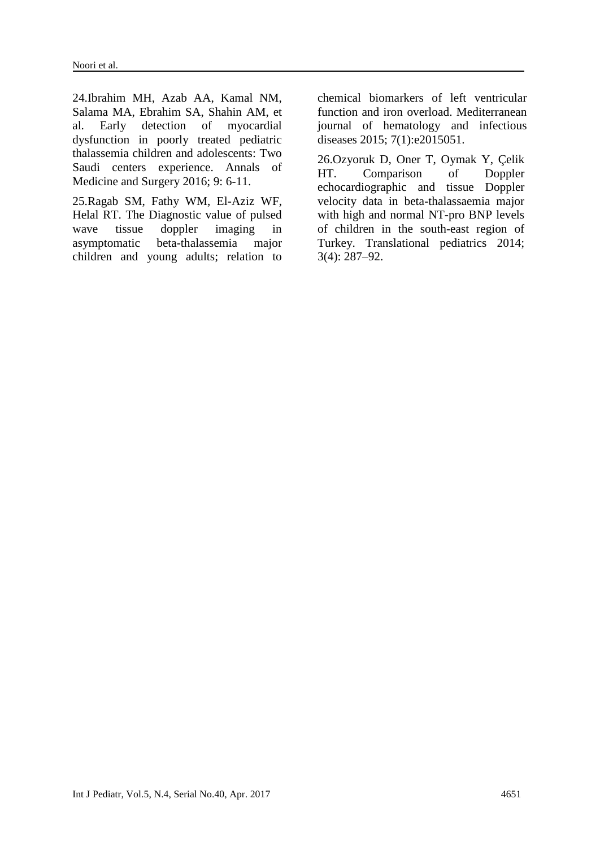24.Ibrahim MH, Azab AA, Kamal NM, Salama MA, Ebrahim SA, Shahin AM, et al. Early detection of myocardial dysfunction in poorly treated pediatric thalassemia children and adolescents: Two Saudi centers experience. Annals of Medicine and Surgery 2016; 9: 6-11.

25.Ragab SM, Fathy WM, El-Aziz WF, Helal RT. The Diagnostic value of pulsed wave tissue doppler imaging in asymptomatic beta-thalassemia major children and young adults; relation to

chemical biomarkers of left ventricular function and iron overload. Mediterranean journal of hematology and infectious diseases 2015; 7(1):e2015051.

26.Ozyoruk D, Oner T, Oymak Y, Çelik HT. Comparison of Doppler echocardiographic and tissue Doppler velocity data in beta-thalassaemia major with high and normal NT-pro BNP levels of children in the south-east region of Turkey. Translational pediatrics 2014; 3(4): 287–92.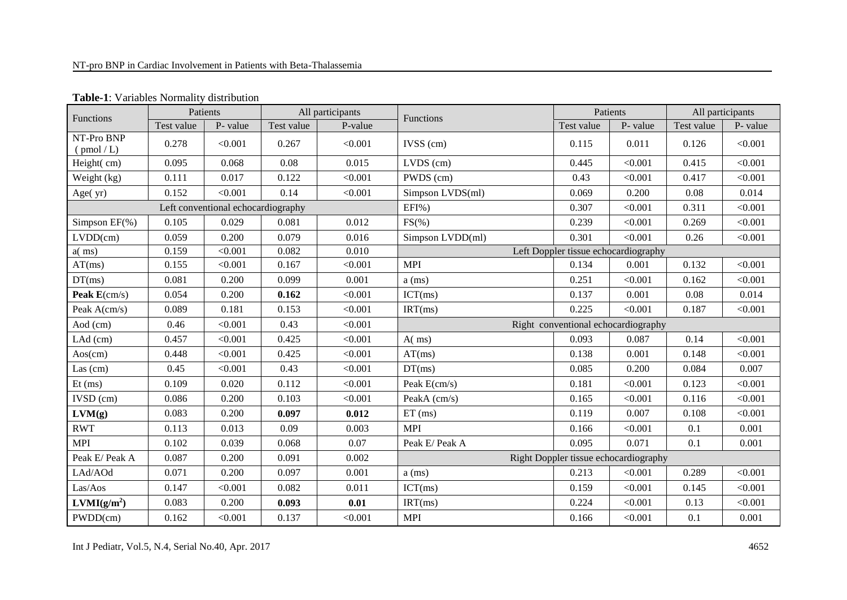| Functions                             |            | Patients                           |            | All participants | Functions        |            | Patients                              |            | All participants |
|---------------------------------------|------------|------------------------------------|------------|------------------|------------------|------------|---------------------------------------|------------|------------------|
|                                       | Test value | P-value                            | Test value | P-value          |                  | Test value | P- value                              | Test value | P- value         |
| NT-Pro BNP<br>$\frac{\text{pmol}}{L}$ | 0.278      | < 0.001                            | 0.267      | < 0.001          | $IVSS$ (cm)      | 0.115      | 0.011                                 | 0.126      | < 0.001          |
| Height(cm)                            | 0.095      | 0.068                              | 0.08       | 0.015            | $LVDS$ (cm)      | 0.445      | < 0.001                               | 0.415      | < 0.001          |
| Weight (kg)                           | 0.111      | 0.017                              | 0.122      | < 0.001          | PWDS (cm)        | 0.43       | < 0.001                               | 0.417      | < 0.001          |
| Age(yr)                               | 0.152      | < 0.001                            | 0.14       | < 0.001          | Simpson LVDS(ml) | 0.069      | 0.200                                 | 0.08       | 0.014            |
|                                       |            | Left conventional echocardiography |            |                  | EFI%)            | 0.307      | < 0.001                               | 0.311      | < 0.001          |
| Simpson $EF(\%)$                      | 0.105      | 0.029                              | 0.081      | 0.012            | $FS(\% )$        | 0.239      | < 0.001                               | 0.269      | < 0.001          |
| LVDD(cm)                              | 0.059      | 0.200                              | 0.079      | 0.016            | Simpson LVDD(ml) | 0.301      | < 0.001                               | 0.26       | < 0.001          |
| $a$ (ms)                              | 0.159      | < 0.001                            | 0.082      | 0.010            |                  |            | Left Doppler tissue echocardiography  |            |                  |
| AT(ms)                                | 0.155      | < 0.001                            | 0.167      | < 0.001          | <b>MPI</b>       | 0.134      | 0.001                                 | 0.132      | < 0.001          |
| DT(ms)                                | 0.081      | 0.200                              | 0.099      | 0.001            | $a$ (ms)         | 0.251      | < 0.001                               | 0.162      | < 0.001          |
| Peak $E(cm/s)$                        | 0.054      | 0.200                              | 0.162      | < 0.001          | ICT(ms)          | 0.137      | 0.001                                 | 0.08       | 0.014            |
| Peak A(cm/s)                          | 0.089      | 0.181                              | 0.153      | < 0.001          | IRT(ms)          | 0.225      | < 0.001                               | 0.187      | < 0.001          |
| Aod (cm)                              | 0.46       | < 0.001                            | 0.43       | < 0.001          |                  |            | Right conventional echocardiography   |            |                  |
| $LAd$ (cm)                            | 0.457      | < 0.001                            | 0.425      | < 0.001          | A(ms)            | 0.093      | 0.087                                 | 0.14       | < 0.001          |
| Aos(cm)                               | 0.448      | < 0.001                            | 0.425      | < 0.001          | AT(ms)           | 0.138      | 0.001                                 | 0.148      | < 0.001          |
| Las $(cm)$                            | 0.45       | < 0.001                            | 0.43       | < 0.001          | DT(ms)           | 0.085      | 0.200                                 | 0.084      | 0.007            |
| $Et$ (ms)                             | 0.109      | 0.020                              | 0.112      | < 0.001          | Peak E(cm/s)     | 0.181      | < 0.001                               | 0.123      | < 0.001          |
| IVSD (cm)                             | 0.086      | 0.200                              | 0.103      | < 0.001          | PeakA (cm/s)     | 0.165      | < 0.001                               | 0.116      | < 0.001          |
| LVM(g)                                | 0.083      | 0.200                              | 0.097      | 0.012            | $ET$ (ms)        | 0.119      | 0.007                                 | 0.108      | < 0.001          |
| <b>RWT</b>                            | 0.113      | 0.013                              | 0.09       | 0.003            | <b>MPI</b>       | 0.166      | < 0.001                               | 0.1        | 0.001            |
| <b>MPI</b>                            | 0.102      | 0.039                              | 0.068      | 0.07             | Peak E/ Peak A   | 0.095      | 0.071                                 | 0.1        | 0.001            |
| Peak E/ Peak A                        | 0.087      | 0.200                              | 0.091      | 0.002            |                  |            | Right Doppler tissue echocardiography |            |                  |
| LAd/AOd                               | 0.071      | 0.200                              | 0.097      | 0.001            | $a$ (ms)         | 0.213      | < 0.001                               | 0.289      | < 0.001          |
| Las/Aos                               | 0.147      | < 0.001                            | 0.082      | 0.011            | ICT(ms)          | 0.159      | < 0.001                               | 0.145      | < 0.001          |
| LVMI(g/m <sup>2</sup> )               | 0.083      | 0.200                              | 0.093      | 0.01             | IRT(ms)          | 0.224      | < 0.001                               | 0.13       | < 0.001          |
| PWDD(cm)                              | 0.162      | < 0.001                            | 0.137      | < 0.001          | <b>MPI</b>       | 0.166      | < 0.001                               | 0.1        | 0.001            |

**Table-1**: Variables Normality distribution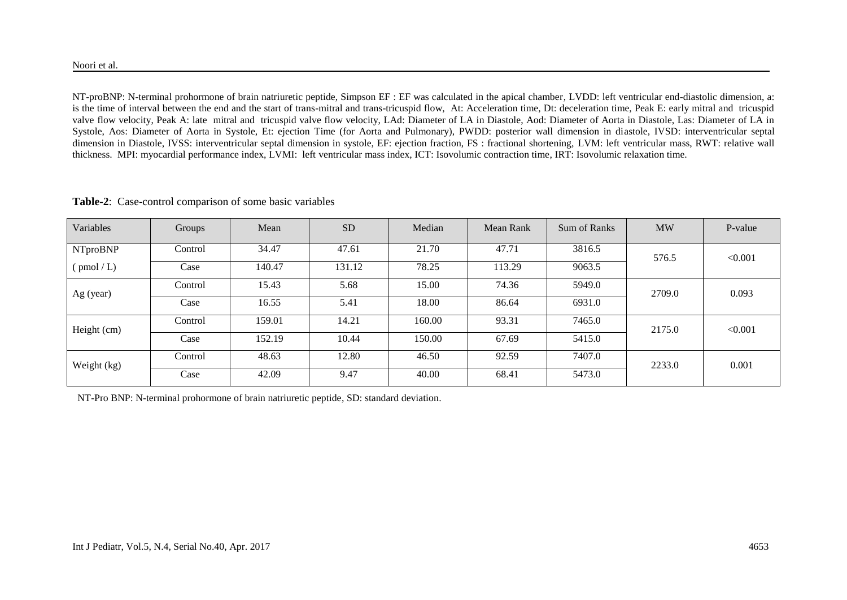NT-proBNP: N-terminal prohormone of brain natriuretic peptide, Simpson EF : EF was calculated in the apical chamber, LVDD: left ventricular end-diastolic dimension, a: is the time of interval between the end and the start of trans-mitral and trans-tricuspid flow, At: Acceleration time, Dt: deceleration time, Peak E: early mitral and tricuspid valve flow velocity, Peak A: late mitral and tricuspid valve flow velocity, LAd: Diameter of LA in Diastole, Aod: Diameter of Aorta in Diastole, Las: Diameter of LA in Systole, Aos: Diameter of Aorta in Systole, Et: ejection Time (for Aorta and Pulmonary), PWDD: posterior wall dimension in diastole, IVSD: interventricular septal dimension in Diastole, IVSS: interventricular septal dimension in systole, EF: ejection fraction, FS : fractional shortening, LVM: left ventricular mass, RWT: relative wall thickness. MPI: myocardial performance index, LVMI: left ventricular mass index, ICT: Isovolumic contraction time, IRT: Isovolumic relaxation time.

| Variables                                   | Groups  | Mean   | <b>SD</b> | Median | Mean Rank | Sum of Ranks | <b>MW</b> | P-value |  |
|---------------------------------------------|---------|--------|-----------|--------|-----------|--------------|-----------|---------|--|
| <b>NTproBNP</b>                             | Control | 34.47  | 47.61     | 21.70  | 47.71     | 3816.5       | 576.5     | < 0.001 |  |
| $\left(\frac{\text{pmol}}{\text{L}}\right)$ | Case    | 140.47 | 131.12    | 78.25  | 113.29    | 9063.5       |           |         |  |
| Ag (year)                                   | Control | 15.43  | 5.68      | 15.00  | 74.36     | 5949.0       | 2709.0    | 0.093   |  |
|                                             | Case    | 16.55  | 5.41      | 18.00  | 86.64     | 6931.0       |           |         |  |
| Height (cm)                                 | Control | 159.01 | 14.21     | 160.00 | 93.31     | 7465.0       | 2175.0    | < 0.001 |  |
|                                             | Case    | 152.19 | 10.44     | 150.00 | 67.69     | 5415.0       |           |         |  |
|                                             | Control | 48.63  | 12.80     | 46.50  | 92.59     | 7407.0       | 2233.0    | 0.001   |  |
| Weight (kg)                                 | Case    | 42.09  | 9.47      | 40.00  | 68.41     | 5473.0       |           |         |  |

**Table-2**: Case-control comparison of some basic variables

NT-Pro BNP: N-terminal prohormone of brain natriuretic peptide, SD: standard deviation.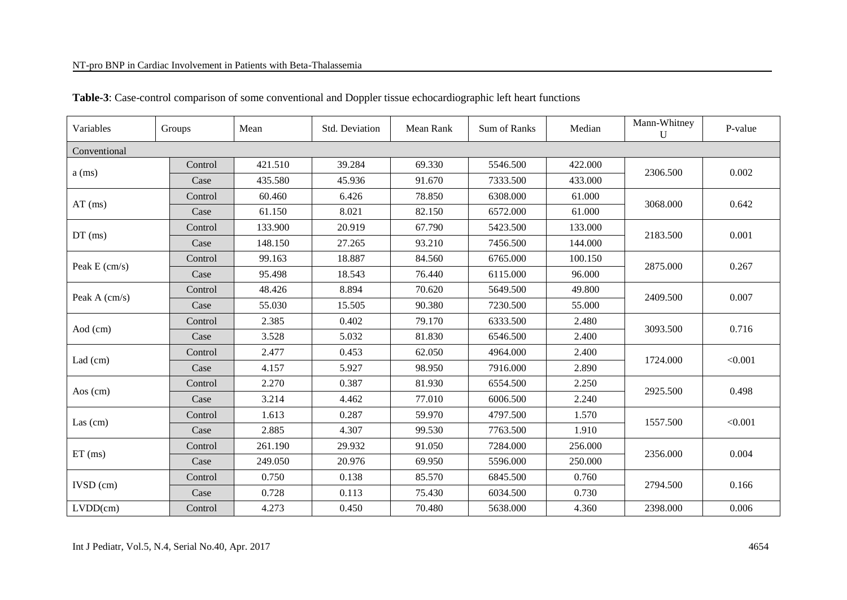#### NT-pro BNP in Cardiac Involvement in Patients with Beta-Thalassemia

| Variables       | Groups  | Mean    | Std. Deviation | Mean Rank | <b>Sum of Ranks</b> | Median  | Mann-Whitney<br>U | P-value |
|-----------------|---------|---------|----------------|-----------|---------------------|---------|-------------------|---------|
| Conventional    |         |         |                |           |                     |         |                   |         |
|                 | Control | 421.510 | 39.284         | 69.330    | 5546.500            | 422.000 | 2306.500          | 0.002   |
| $a$ (ms)        | Case    | 435.580 | 45.936         | 91.670    | 7333.500            | 433.000 |                   |         |
| $AT$ (ms)       | Control | 60.460  | 6.426          | 78.850    | 6308.000            | 61.000  | 3068.000          | 0.642   |
|                 | Case    | 61.150  | 8.021          | 82.150    | 6572.000            | 61.000  |                   |         |
|                 | Control | 133.900 | 20.919         | 67.790    | 5423.500            | 133.000 | 2183.500          | 0.001   |
| $DT$ (ms)       | Case    | 148.150 | 27.265         | 93.210    | 7456.500            | 144.000 |                   |         |
|                 | Control | 99.163  | 18.887         | 84.560    | 6765.000            | 100.150 | 2875.000          | 0.267   |
| Peak E (cm/s)   | Case    | 95.498  | 18.543         | 76.440    | 6115.000            | 96.000  |                   |         |
|                 | Control | 48.426  | 8.894          | 70.620    | 5649.500            | 49.800  |                   | 0.007   |
| Peak A $(cm/s)$ | Case    | 55.030  | 15.505         | 90.380    | 7230.500            | 55.000  | 2409.500          |         |
|                 | Control | 2.385   | 0.402          | 79.170    | 6333.500            | 2.480   | 3093.500          |         |
| Aod (cm)        | Case    | 3.528   | 5.032          | 81.830    | 6546.500            | 2.400   |                   | 0.716   |
|                 | Control | 2.477   | 0.453          | 62.050    | 4964.000            | 2.400   | 1724.000          | < 0.001 |
| Lad $(cm)$      | Case    | 4.157   | 5.927          | 98.950    | 7916.000            | 2.890   |                   |         |
| Aos $(cm)$      | Control | 2.270   | 0.387          | 81.930    | 6554.500            | 2.250   | 2925.500          | 0.498   |
|                 | Case    | 3.214   | 4.462          | 77.010    | 6006.500            | 2.240   |                   |         |
|                 | Control | 1.613   | 0.287          | 59.970    | 4797.500            | 1.570   | 1557.500          | < 0.001 |
| Las $(cm)$      | Case    | 2.885   | 4.307          | 99.530    | 7763.500            | 1.910   |                   |         |
|                 | Control | 261.190 | 29.932         | 91.050    | 7284.000            | 256.000 |                   |         |
| $ET$ (ms)       | Case    | 249.050 | 20.976         | 69.950    | 5596.000            | 250.000 | 2356.000          | 0.004   |
|                 | Control | 0.750   | 0.138          | 85.570    | 6845.500            | 0.760   |                   |         |
| $IVSD$ (cm)     | Case    | 0.728   | 0.113          | 75.430    | 6034.500            | 0.730   | 2794.500          | 0.166   |
| LVDD(cm)        | Control | 4.273   | 0.450          | 70.480    | 5638.000            | 4.360   | 2398.000          | 0.006   |

### **Table-3**: Case-control comparison of some conventional and Doppler tissue echocardiographic left heart functions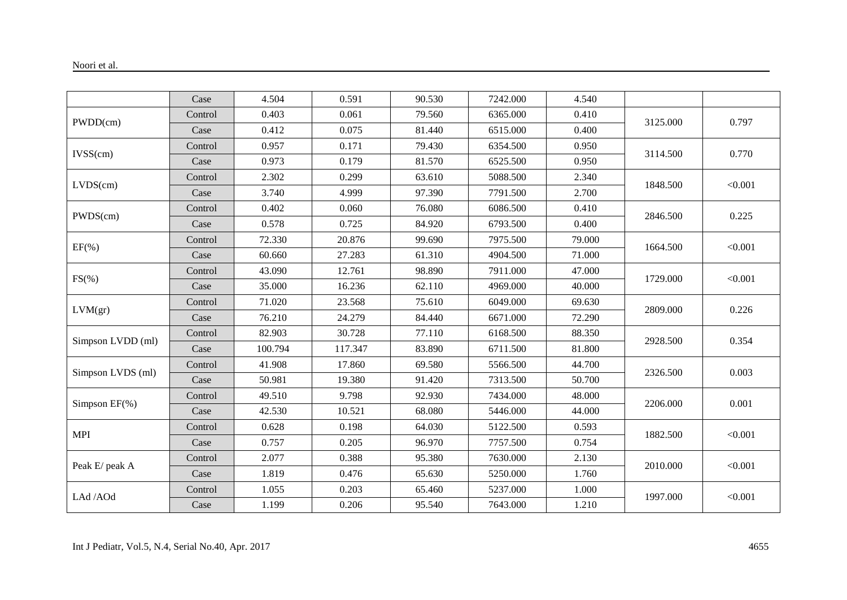|                   | Case    | 4.504   | 0.591   | 90.530 | 7242.000 | 4.540  |                                                                                                                                              |         |
|-------------------|---------|---------|---------|--------|----------|--------|----------------------------------------------------------------------------------------------------------------------------------------------|---------|
|                   | Control | 0.403   | 0.061   | 79.560 | 6365.000 | 0.410  |                                                                                                                                              |         |
| PWDD(cm)          | Case    | 0.412   | 0.075   | 81.440 | 6515.000 | 0.400  |                                                                                                                                              | 0.797   |
|                   | Control | 0.957   | 0.171   | 79.430 | 6354.500 | 0.950  |                                                                                                                                              |         |
| IVSS(cm)          | Case    | 0.973   | 0.179   | 81.570 | 6525.500 | 0.950  |                                                                                                                                              | 0.770   |
|                   | Control | 2.302   | 0.299   | 63.610 | 5088.500 | 2.340  |                                                                                                                                              |         |
| LVDS(cm)          | Case    | 3.740   | 4.999   | 97.390 | 7791.500 | 2.700  | 3125.000<br>3114.500<br>1848.500<br>2846.500<br>1664.500<br>1729.000<br>2809.000<br>2928.500<br>2326.500<br>2206.000<br>1882.500<br>2010.000 | < 0.001 |
|                   | Control | 0.402   | 0.060   | 76.080 | 6086.500 | 0.410  |                                                                                                                                              |         |
| PWDS(cm)          | Case    | 0.578   | 0.725   | 84.920 | 6793.500 | 0.400  |                                                                                                                                              | 0.225   |
|                   | Control | 72.330  | 20.876  | 99.690 | 7975.500 | 79.000 |                                                                                                                                              | < 0.001 |
| $EF(\% )$         | Case    | 60.660  | 27.283  | 61.310 | 4904.500 | 71.000 |                                                                                                                                              |         |
|                   | Control | 43.090  | 12.761  | 98.890 | 7911.000 | 47.000 |                                                                                                                                              | < 0.001 |
| $FS(\% )$         | Case    | 35.000  | 16.236  | 62.110 | 4969.000 | 40.000 |                                                                                                                                              |         |
| LVM(gr)           | Control | 71.020  | 23.568  | 75.610 | 6049.000 | 69.630 |                                                                                                                                              |         |
|                   | Case    | 76.210  | 24.279  | 84.440 | 6671.000 | 72.290 |                                                                                                                                              | 0.226   |
|                   | Control | 82.903  | 30.728  | 77.110 | 6168.500 | 88.350 |                                                                                                                                              |         |
| Simpson LVDD (ml) | Case    | 100.794 | 117.347 | 83.890 | 6711.500 | 81.800 |                                                                                                                                              | 0.354   |
|                   | Control | 41.908  | 17.860  | 69.580 | 5566.500 | 44.700 |                                                                                                                                              |         |
| Simpson LVDS (ml) | Case    | 50.981  | 19.380  | 91.420 | 7313.500 | 50.700 |                                                                                                                                              | 0.003   |
|                   | Control | 49.510  | 9.798   | 92.930 | 7434.000 | 48.000 |                                                                                                                                              | 0.001   |
| Simpson EF(%)     | Case    | 42.530  | 10.521  | 68.080 | 5446.000 | 44.000 |                                                                                                                                              |         |
| <b>MPI</b>        | Control | 0.628   | 0.198   | 64.030 | 5122.500 | 0.593  |                                                                                                                                              | < 0.001 |
|                   | Case    | 0.757   | 0.205   | 96.970 | 7757.500 | 0.754  |                                                                                                                                              |         |
|                   | Control | 2.077   | 0.388   | 95.380 | 7630.000 | 2.130  |                                                                                                                                              |         |
| Peak E/ peak A    | Case    | 1.819   | 0.476   | 65.630 | 5250.000 | 1.760  |                                                                                                                                              | < 0.001 |
|                   | Control | 1.055   | 0.203   | 65.460 | 5237.000 | 1.000  |                                                                                                                                              | < 0.001 |
| LAd /AOd          | Case    | 1.199   | 0.206   | 95.540 | 7643.000 | 1.210  | 1997.000                                                                                                                                     |         |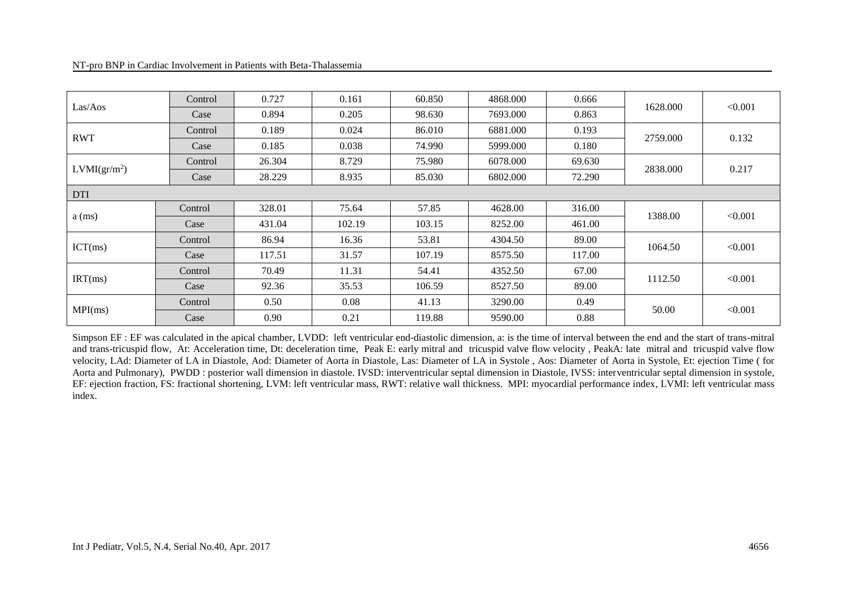| Las/Aos                  | Control | 0.727  | 0.161  | 60.850 | 4868.000 | 0.666  | 1628.000 | < 0.001 |
|--------------------------|---------|--------|--------|--------|----------|--------|----------|---------|
|                          | Case    | 0.894  | 0.205  | 98.630 | 7693.000 | 0.863  |          |         |
| <b>RWT</b>               | Control | 0.189  | 0.024  | 86.010 | 6881.000 | 0.193  | 2759.000 | 0.132   |
|                          | Case    | 0.185  | 0.038  | 74.990 | 5999.000 | 0.180  |          |         |
| LVMI(gr/m <sup>2</sup> ) | Control | 26.304 | 8.729  | 75.980 | 6078.000 | 69.630 | 2838.000 | 0.217   |
|                          | Case    | 28.229 | 8.935  | 85.030 | 6802.000 | 72.290 |          |         |
| <b>DTI</b>               |         |        |        |        |          |        |          |         |
|                          | Control | 328.01 | 75.64  | 57.85  | 4628.00  | 316.00 |          |         |
| $a$ (ms)                 | Case    | 431.04 | 102.19 | 103.15 | 8252.00  | 461.00 | 1388.00  | < 0.001 |
| ICT(ms)                  | Control | 86.94  | 16.36  | 53.81  | 4304.50  | 89.00  | 1064.50  | < 0.001 |
|                          | Case    | 117.51 | 31.57  | 107.19 | 8575.50  | 117.00 |          |         |
|                          | Control | 70.49  | 11.31  | 54.41  | 4352.50  | 67.00  | 1112.50  | < 0.001 |
| IRT(ms)                  | Case    | 92.36  | 35.53  | 106.59 | 8527.50  | 89.00  |          |         |
| MPI(ms)                  | Control | 0.50   | 0.08   | 41.13  | 3290.00  | 0.49   |          | < 0.001 |
|                          | Case    | 0.90   | 0.21   | 119.88 | 9590.00  | 0.88   | 50.00    |         |

Simpson EF : EF was calculated in the apical chamber, LVDD: left ventricular end-diastolic dimension, a: is the time of interval between the end and the start of trans-mitral and trans-tricuspid flow, At: Acceleration time, Dt: deceleration time, Peak E: early mitral and tricuspid valve flow velocity, PeakA: late mitral and tricuspid valve flow velocity, LAd: Diameter of LA in Diastole, Aod: Diameter of Aorta in Diastole, Las: Diameter of LA in Systole , Aos: Diameter of Aorta in Systole, Et: ejection Time ( for Aorta and Pulmonary), PWDD : posterior wall dimension in diastole. IVSD: interventricular septal dimension in Diastole, IVSS: interventricular septal dimension in systole, EF: ejection fraction, FS: fractional shortening, LVM: left ventricular mass, RWT: relative wall thickness. MPI: myocardial performance index, LVMI: left ventricular mass index.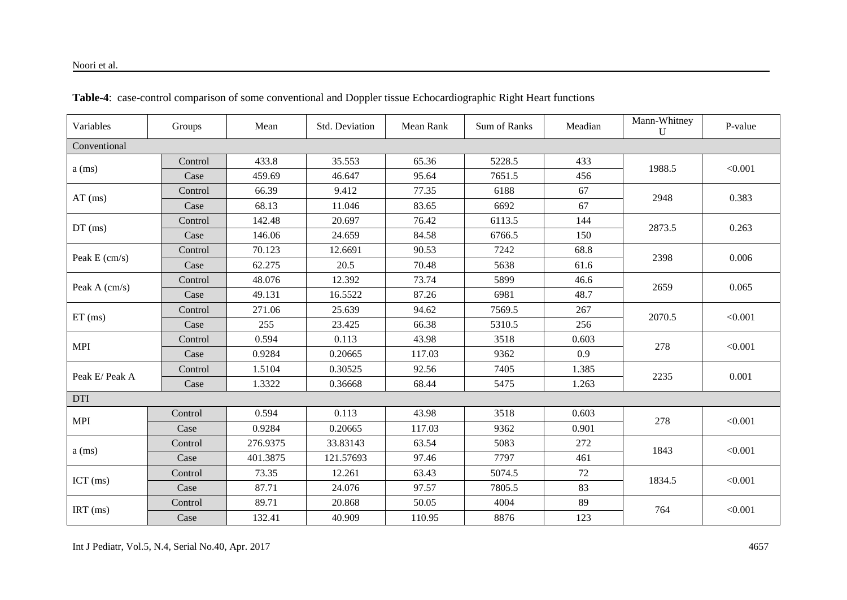| Variables       | Groups  | Mean     | Std. Deviation | Mean Rank | Sum of Ranks | Meadian | Mann-Whitney<br>$\mathbf{U}$ | P-value |
|-----------------|---------|----------|----------------|-----------|--------------|---------|------------------------------|---------|
| Conventional    |         |          |                |           |              |         |                              |         |
|                 | Control | 433.8    | 35.553         | 65.36     | 5228.5       | 433     | 1988.5                       | < 0.001 |
| $a$ (ms)        | Case    | 459.69   | 46.647         | 95.64     | 7651.5       | 456     |                              |         |
| $AT$ (ms)       | Control | 66.39    | 9.412          | 77.35     | 6188         | 67      | 2948                         | 0.383   |
|                 | Case    | 68.13    | 11.046         | 83.65     | 6692         | 67      |                              |         |
|                 | Control | 142.48   | 20.697         | 76.42     | 6113.5       | 144     | 2873.5                       |         |
| $DT$ (ms)       | Case    | 146.06   | 24.659         | 84.58     | 6766.5       | 150     |                              | 0.263   |
| Peak $E$ (cm/s) | Control | 70.123   | 12.6691        | 90.53     | 7242         | 68.8    | 2398                         | 0.006   |
|                 | Case    | 62.275   | 20.5           | 70.48     | 5638         | 61.6    |                              |         |
|                 | Control | 48.076   | 12.392         | 73.74     | 5899         | 46.6    | 2659                         | 0.065   |
| Peak A (cm/s)   | Case    | 49.131   | 16.5522        | 87.26     | 6981         | 48.7    |                              |         |
|                 | Control | 271.06   | 25.639         | 94.62     | 7569.5       | 267     |                              |         |
| $ET$ (ms)       | Case    | 255      | 23.425         | 66.38     | 5310.5       | 256     | 2070.5                       | < 0.001 |
| <b>MPI</b>      | Control | 0.594    | 0.113          | 43.98     | 3518         | 0.603   | 278                          | < 0.001 |
|                 | Case    | 0.9284   | 0.20665        | 117.03    | 9362         | 0.9     |                              |         |
| Peak E/ Peak A  | Control | 1.5104   | 0.30525        | 92.56     | 7405         | 1.385   | 2235                         | 0.001   |
|                 | Case    | 1.3322   | 0.36668        | 68.44     | 5475         | 1.263   |                              |         |
| <b>DTI</b>      |         |          |                |           |              |         |                              |         |
| <b>MPI</b>      | Control | 0.594    | 0.113          | 43.98     | 3518         | 0.603   | 278                          | < 0.001 |
|                 | Case    | 0.9284   | 0.20665        | 117.03    | 9362         | 0.901   |                              |         |
|                 | Control | 276.9375 | 33.83143       | 63.54     | 5083         | 272     | 1843                         | < 0.001 |
| $a$ (ms)        | Case    | 401.3875 | 121.57693      | 97.46     | 7797         | 461     |                              |         |
|                 | Control | 73.35    | 12.261         | 63.43     | 5074.5       | 72      |                              |         |
| ICT (ms)        | Case    | 87.71    | 24.076         | 97.57     | 7805.5       | 83      | 1834.5                       | < 0.001 |
|                 | Control | 89.71    | 20.868         | 50.05     | 4004         | 89      | 764                          | < 0.001 |
| $IRT$ (ms)      | Case    | 132.41   | 40.909         | 110.95    | 8876         | 123     |                              |         |

**Table-4**: case-control comparison of some conventional and Doppler tissue Echocardiographic Right Heart functions

Int J Pediatr, Vol.5, N.4, Serial No.40, Apr. 2017 4657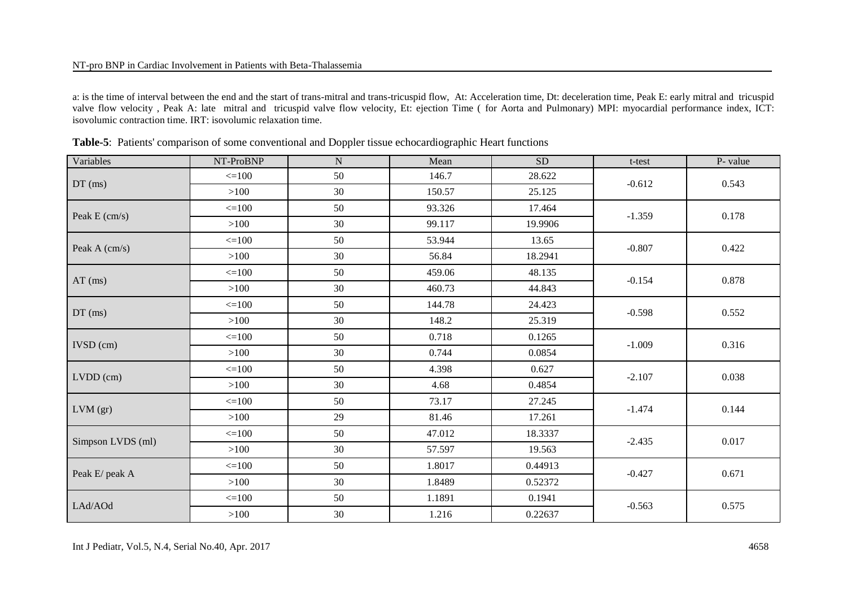#### NT-pro BNP in Cardiac Involvement in Patients with Beta-Thalassemia

a: is the time of interval between the end and the start of trans-mitral and trans-tricuspid flow, At: Acceleration time, Dt: deceleration time, Peak E: early mitral and tricuspid valve flow velocity, Peak A: late mitral and tricuspid valve flow velocity, Et: ejection Time (for Aorta and Pulmonary) MPI: myocardial performance index, ICT: isovolumic contraction time. IRT: isovolumic relaxation time.

| Variables         | NT-ProBNP  | ${\bf N}$ | Mean   | ${\rm SD}$ | t-test   | P- value |  |
|-------------------|------------|-----------|--------|------------|----------|----------|--|
| $DT$ (ms)         | $\leq 100$ | 50        | 146.7  | 28.622     | $-0.612$ | 0.543    |  |
|                   | >100       | 30        | 150.57 | 25.125     |          |          |  |
|                   | $\leq 100$ | 50        | 93.326 | 17.464     |          |          |  |
| Peak E (cm/s)     | $>100$     | 30        | 99.117 | 19.9906    | $-1.359$ | 0.178    |  |
|                   | $\leq 100$ | 50        | 53.944 | 13.65      |          |          |  |
| Peak A (cm/s)     | $>100$     | 30        | 56.84  | 18.2941    | $-0.807$ | 0.422    |  |
|                   | $\leq 100$ | 50        | 459.06 | 48.135     | $-0.154$ | 0.878    |  |
| $AT$ (ms)         | >100       | 30        | 460.73 | 44.843     |          |          |  |
|                   | $\leq 100$ | 50        | 144.78 | 24.423     | $-0.598$ | 0.552    |  |
| $DT$ (ms)         | >100       | 30        | 148.2  | 25.319     |          |          |  |
| $IVSD$ (cm)       | $\leq 100$ | 50        | 0.718  | 0.1265     |          |          |  |
|                   | $>100$     | 30        | 0.744  | 0.0854     | $-1.009$ | 0.316    |  |
|                   | $\leq 100$ | 50        | 4.398  | 0.627      |          | 0.038    |  |
| $LVDD$ (cm)       | $>100$     | 30        | 4.68   | 0.4854     | $-2.107$ |          |  |
|                   | $\leq 100$ | 50        | 73.17  | 27.245     | $-1.474$ | 0.144    |  |
| $LVM$ (gr)        | >100       | 29        | 81.46  | 17.261     |          |          |  |
|                   | $\leq 100$ | 50        | 47.012 | 18.3337    | $-2.435$ | 0.017    |  |
| Simpson LVDS (ml) | $>100$     | 30        | 57.597 | 19.563     |          |          |  |
|                   | $\leq 100$ | 50        | 1.8017 | 0.44913    |          |          |  |
| Peak E/ peak A    | >100       | 30        | 1.8489 | 0.52372    | $-0.427$ | 0.671    |  |
|                   | $\leq 100$ | 50        | 1.1891 | 0.1941     |          |          |  |
| LAd/AOd           | $>100$     | 30        | 1.216  | 0.22637    | $-0.563$ | 0.575    |  |

|  |  |  |  | Table-5: Patients' comparison of some conventional and Doppler tissue echocardiographic Heart functions |
|--|--|--|--|---------------------------------------------------------------------------------------------------------|
|  |  |  |  |                                                                                                         |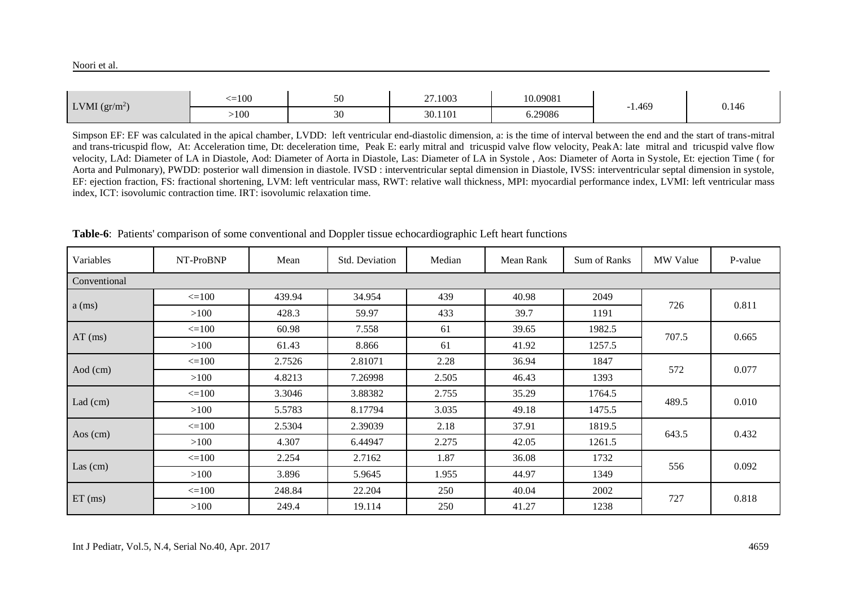|                     | $\leq 100$ | 50 | 27.1003 | 10.09081 |       |       |
|---------------------|------------|----|---------|----------|-------|-------|
| LVMI $\rm (gr/m^2)$ | >100       | 30 | 30.1101 | 6.29086  | 1.469 | 0.146 |

Simpson EF: EF was calculated in the apical chamber, LVDD: left ventricular end-diastolic dimension, a: is the time of interval between the end and the start of trans-mitral and trans-tricuspid flow, At: Acceleration time, Dt: deceleration time, Peak E: early mitral and tricuspid valve flow velocity, Peak A: late mitral and tricuspid valve flow velocity, LAd: Diameter of LA in Diastole, Aod: Diameter of Aorta in Diastole, Las: Diameter of LA in Systole , Aos: Diameter of Aorta in Systole, Et: ejection Time ( for Aorta and Pulmonary), PWDD: posterior wall dimension in diastole. IVSD : interventricular septal dimension in Diastole, IVSS: interventricular septal dimension in systole, EF: ejection fraction, FS: fractional shortening, LVM: left ventricular mass, RWT: relative wall thickness, MPI: myocardial performance index, LVMI: left ventricular mass index, ICT: isovolumic contraction time. IRT: isovolumic relaxation time.

| Variables    | NT-ProBNP    | Mean   | Std. Deviation | Median | Mean Rank | Sum of Ranks | MW Value                                            | P-value |  |
|--------------|--------------|--------|----------------|--------|-----------|--------------|-----------------------------------------------------|---------|--|
| Conventional |              |        |                |        |           |              |                                                     |         |  |
|              | $\leq$ = 100 | 439.94 | 34.954         | 439    | 40.98     | 2049         |                                                     | 0.811   |  |
| $a$ (ms)     | >100         | 428.3  | 59.97          | 433    | 39.7      | 1191         | 726<br>707.5<br>572<br>489.5<br>643.5<br>556<br>727 |         |  |
| $AT$ (ms)    | $\leq$ = 100 | 60.98  | 7.558          | 61     | 39.65     | 1982.5       |                                                     | 0.665   |  |
|              | >100         | 61.43  | 8.866          | 61     | 41.92     | 1257.5       |                                                     |         |  |
|              | $\leq$ = 100 | 2.7526 | 2.81071        | 2.28   | 36.94     | 1847         |                                                     | 0.077   |  |
| Aod (cm)     | >100         | 4.8213 | 7.26998        | 2.505  | 46.43     | 1393         |                                                     |         |  |
| Lad $(cm)$   | $\leq$ = 100 | 3.3046 | 3.88382        | 2.755  | 35.29     | 1764.5       |                                                     | 0.010   |  |
|              | >100         | 5.5783 | 8.17794        | 3.035  | 49.18     | 1475.5       |                                                     |         |  |
|              | $\leq$ = 100 | 2.5304 | 2.39039        | 2.18   | 37.91     | 1819.5       |                                                     | 0.432   |  |
| Aos $(cm)$   | >100         | 4.307  | 6.44947        | 2.275  | 42.05     | 1261.5       |                                                     |         |  |
|              | $\leq$ = 100 | 2.254  | 2.7162         | 1.87   | 36.08     | 1732         |                                                     | 0.092   |  |
| Las $(cm)$   | >100         | 3.896  | 5.9645         | 1.955  | 44.97     | 1349         |                                                     |         |  |
|              | $\leq$ = 100 | 248.84 | 22.204         | 250    | 40.04     | 2002         |                                                     | 0.818   |  |
| $ET$ (ms)    | >100         | 249.4  | 19.114         | 250    | 41.27     | 1238         |                                                     |         |  |

**Table-6**: Patients' comparison of some conventional and Doppler tissue echocardiographic Left heart functions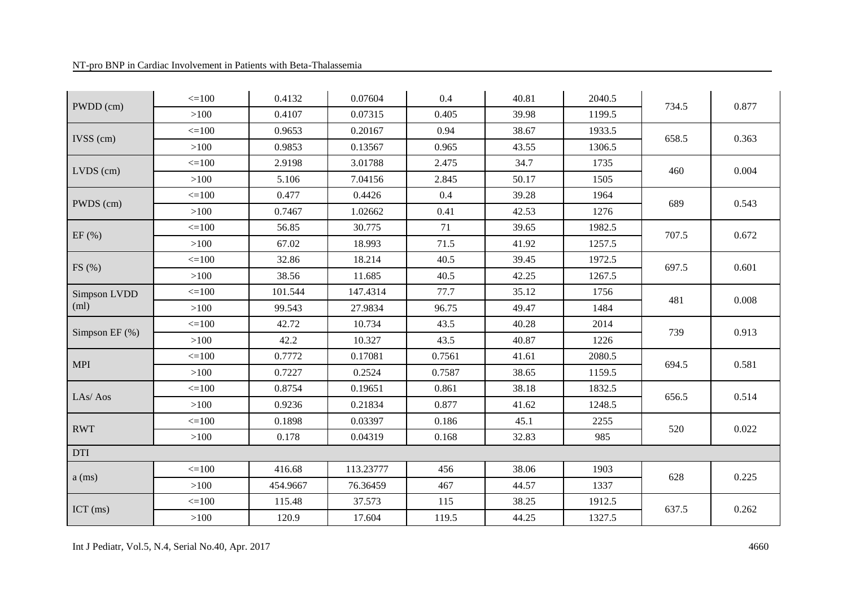#### NT-pro BNP in Cardiac Involvement in Patients with Beta-Thalassemia

|                   | $\leq 100$ | 0.4132   | 0.07604   | 0.4    | 40.81 | 2040.5 |       |       |
|-------------------|------------|----------|-----------|--------|-------|--------|-------|-------|
| PWDD (cm)         | $>100$     | 0.4107   | 0.07315   | 0.405  | 39.98 | 1199.5 | 734.5 | 0.877 |
|                   | $\leq 100$ | 0.9653   | 0.20167   | 0.94   | 38.67 | 1933.5 |       |       |
| $IVSS$ (cm)       | >100       | 0.9853   | 0.13567   | 0.965  | 43.55 | 1306.5 | 658.5 | 0.363 |
|                   | $\leq 100$ | 2.9198   | 3.01788   | 2.475  | 34.7  | 1735   |       | 0.004 |
| $LVDS$ (cm)       | $>100$     | 5.106    | 7.04156   | 2.845  | 50.17 | 1505   | 460   |       |
|                   | $\leq 100$ | 0.477    | 0.4426    | 0.4    | 39.28 | 1964   |       |       |
| PWDS (cm)         | $>100$     | 0.7467   | 1.02662   | 0.41   | 42.53 | 1276   | 689   | 0.543 |
|                   | $\leq 100$ | 56.85    | 30.775    | 71     | 39.65 | 1982.5 | 707.5 |       |
| EF(%)             | $>100$     | 67.02    | 18.993    | 71.5   | 41.92 | 1257.5 |       | 0.672 |
|                   | $\leq 100$ | 32.86    | 18.214    | 40.5   | 39.45 | 1972.5 | 697.5 | 0.601 |
| FS(%)             | >100       | 38.56    | 11.685    | 40.5   | 42.25 | 1267.5 |       |       |
| Simpson LVDD      | $\leq 100$ | 101.544  | 147.4314  | 77.7   | 35.12 | 1756   |       | 0.008 |
| (ml)              | >100       | 99.543   | 27.9834   | 96.75  | 49.47 | 1484   | 481   |       |
| Simpson EF $(\%)$ | $\leq 100$ | 42.72    | 10.734    | 43.5   | 40.28 | 2014   | 739   | 0.913 |
|                   | $>100$     | 42.2     | 10.327    | 43.5   | 40.87 | 1226   |       |       |
| <b>MPI</b>        | $\leq 100$ | 0.7772   | 0.17081   | 0.7561 | 41.61 | 2080.5 | 694.5 | 0.581 |
|                   | $>100$     | 0.7227   | 0.2524    | 0.7587 | 38.65 | 1159.5 |       |       |
| LAs/Aos           | $\leq 100$ | 0.8754   | 0.19651   | 0.861  | 38.18 | 1832.5 |       | 0.514 |
|                   | $>100$     | 0.9236   | 0.21834   | 0.877  | 41.62 | 1248.5 | 656.5 |       |
| <b>RWT</b>        | $\leq 100$ | 0.1898   | 0.03397   | 0.186  | 45.1  | 2255   | 520   | 0.022 |
|                   | $>100$     | 0.178    | 0.04319   | 0.168  | 32.83 | 985    |       |       |
| <b>DTI</b>        |            |          |           |        |       |        |       |       |
|                   | $\leq 100$ | 416.68   | 113.23777 | 456    | 38.06 | 1903   |       |       |
| $a$ (ms)          | >100       | 454.9667 | 76.36459  | 467    | 44.57 | 1337   | 628   | 0.225 |
| ICT (ms)          | $\leq 100$ | 115.48   | 37.573    | 115    | 38.25 | 1912.5 |       | 0.262 |
|                   | >100       | 120.9    | 17.604    | 119.5  | 44.25 | 1327.5 | 637.5 |       |

Int J Pediatr, Vol.5, N.4, Serial No.40, Apr. 2017 4660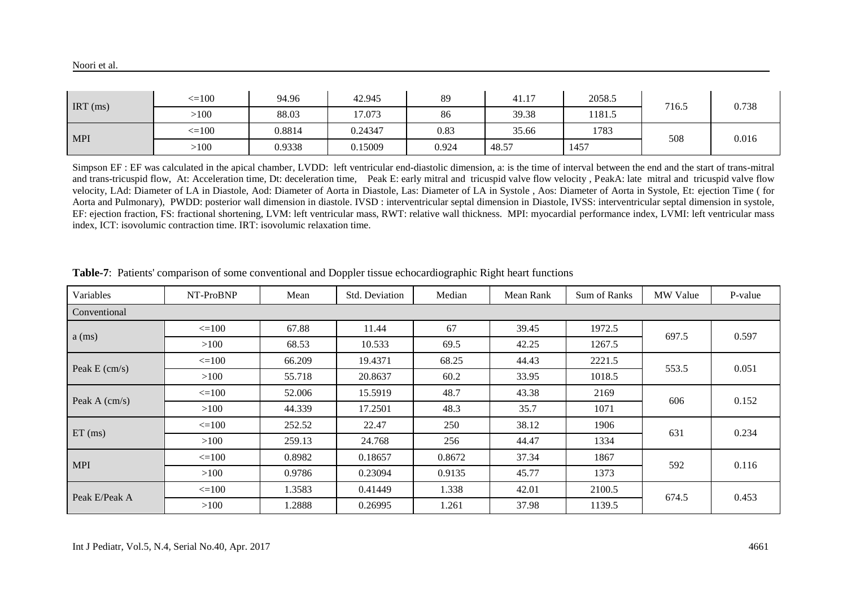| $\overline{\text{IRT}}$ (ms) | $\leq 100$ | 94.96  | 42.945  | 89    | 41.17 | 2058.5 | 716.5 | 0.738 |
|------------------------------|------------|--------|---------|-------|-------|--------|-------|-------|
|                              | >100       | 88.03  | 17.073  | 86    | 39.38 | 1181.5 |       |       |
| <b>MPI</b>                   | $\leq 100$ | 0.8814 | 0.24347 | 0.83  | 35.66 | 1783   | 508   | 0.016 |
|                              | >100       | 0.9338 | 0.15009 | 0.924 | 48.57 | 1457   |       |       |

Simpson EF : EF was calculated in the apical chamber, LVDD: left ventricular end-diastolic dimension, a: is the time of interval between the end and the start of trans-mitral and trans-tricuspid flow, At: Acceleration time, Dt: deceleration time, Peak E: early mitral and tricuspid valve flow velocity , PeakA: late mitral and tricuspid valve flow velocity, LAd: Diameter of LA in Diastole, Aod: Diameter of Aorta in Diastole, Las: Diameter of LA in Systole , Aos: Diameter of Aorta in Systole, Et: ejection Time ( for Aorta and Pulmonary), PWDD: posterior wall dimension in diastole. IVSD : interventricular septal dimension in Diastole, IVSS: interventricular septal dimension in systole, EF: ejection fraction, FS: fractional shortening, LVM: left ventricular mass, RWT: relative wall thickness. MPI: myocardial performance index, LVMI: left ventricular mass index, ICT: isovolumic contraction time. IRT: isovolumic relaxation time.

| Variables               | NT-ProBNP    | Mean   | Std. Deviation | Median | Mean Rank | Sum of Ranks | <b>MW</b> Value | P-value |  |  |  |  |
|-------------------------|--------------|--------|----------------|--------|-----------|--------------|-----------------|---------|--|--|--|--|
| Conventional            |              |        |                |        |           |              |                 |         |  |  |  |  |
| $a$ (ms)                | $\leq 100$   | 67.88  | 11.44          | 67     | 39.45     | 1972.5       | 697.5           | 0.597   |  |  |  |  |
|                         | >100         | 68.53  | 10.533         | 69.5   | 42.25     | 1267.5       |                 |         |  |  |  |  |
| Peak $E \text{ (cm/s)}$ | $\leq$ = 100 | 66.209 | 19.4371        | 68.25  | 44.43     | 2221.5       | 553.5           | 0.051   |  |  |  |  |
|                         | >100         | 55.718 | 20.8637        | 60.2   | 33.95     | 1018.5       |                 |         |  |  |  |  |
| Peak A (cm/s)           | $\leq$ 100   | 52.006 | 15.5919        | 48.7   | 43.38     | 2169         | 606             | 0.152   |  |  |  |  |
|                         | >100         | 44.339 | 17.2501        | 48.3   | 35.7      | 1071         |                 |         |  |  |  |  |
| $ET$ (ms)               | $\leq 100$   | 252.52 | 22.47          | 250    | 38.12     | 1906         | 631             | 0.234   |  |  |  |  |
|                         | >100         | 259.13 | 24.768         | 256    | 44.47     | 1334         |                 |         |  |  |  |  |
| <b>MPI</b>              | $\leq 100$   | 0.8982 | 0.18657        | 0.8672 | 37.34     | 1867         | 592             | 0.116   |  |  |  |  |
|                         | >100         | 0.9786 | 0.23094        | 0.9135 | 45.77     | 1373         |                 |         |  |  |  |  |
| Peak E/Peak A           | $\leq$ 100   | 1.3583 | 0.41449        | 1.338  | 42.01     | 2100.5       | 674.5           | 0.453   |  |  |  |  |
|                         | >100         | 1.2888 | 0.26995        | 1.261  | 37.98     | 1139.5       |                 |         |  |  |  |  |

**Table-7**: Patients' comparison of some conventional and Doppler tissue echocardiographic Right heart functions